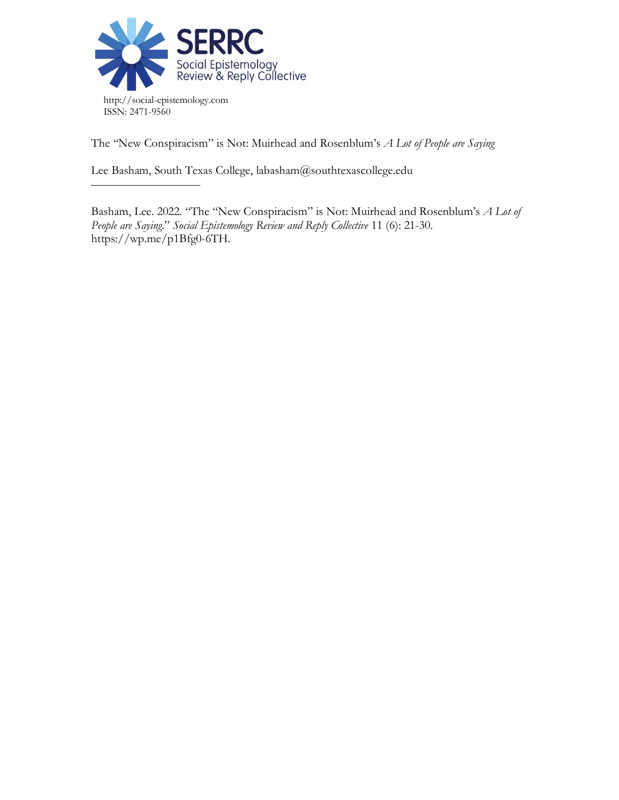

––––––––––––––––––

The "New Conspiracism" is Not: Muirhead and Rosenblum's *A Lot of People are Saying*

Lee Basham, South Texas College, labasham@southtexascollege.edu

Basham, Lee. 2022. "The "New Conspiracism" is Not: Muirhead and Rosenblum's *A Lot of People are Saying*." *Social Epistemology Review and Reply Collective* 11 (6): 21-30. https://wp.me/p1Bfg0-6TH.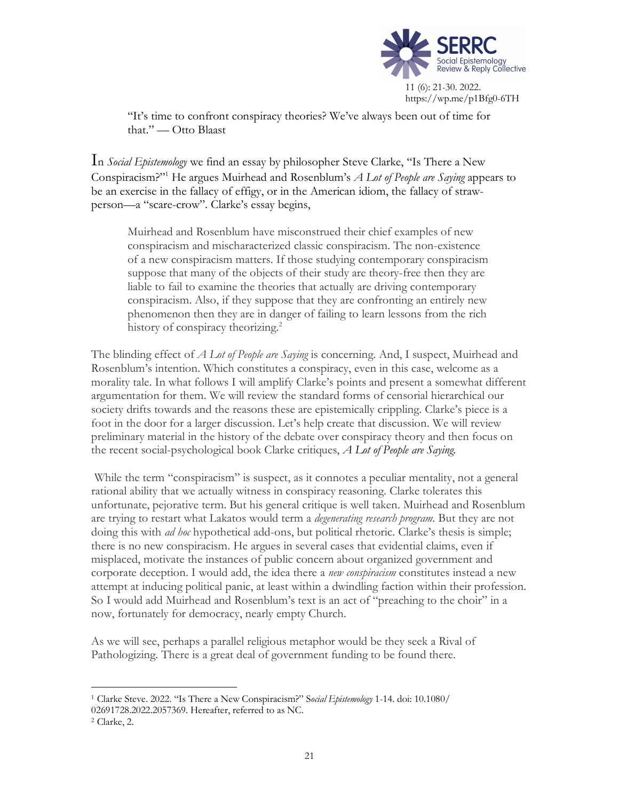

https://wp.me/p1Bfg0-6TH

"It's time to confront conspiracy theories? We've always been out of time for that." — Otto Blaast

In *Social Epistemology* we find an essay by philosopher Steve Clarke, "Is There a New Conspiracism?"1 He argues Muirhead and Rosenblum's *A Lot of People are Saying* appears to be an exercise in the fallacy of effigy, or in the American idiom, the fallacy of strawperson—a "scare-crow". Clarke's essay begins,

Muirhead and Rosenblum have misconstrued their chief examples of new conspiracism and mischaracterized classic conspiracism. The non-existence of a new conspiracism matters. If those studying contemporary conspiracism suppose that many of the objects of their study are theory-free then they are liable to fail to examine the theories that actually are driving contemporary conspiracism. Also, if they suppose that they are confronting an entirely new phenomenon then they are in danger of failing to learn lessons from the rich history of conspiracy theorizing.<sup>2</sup>

The blinding effect of *A Lot of People are Saying* is concerning. And, I suspect, Muirhead and Rosenblum's intention. Which constitutes a conspiracy, even in this case, welcome as a morality tale. In what follows I will amplify Clarke's points and present a somewhat different argumentation for them. We will review the standard forms of censorial hierarchical our society drifts towards and the reasons these are epistemically crippling. Clarke's piece is a foot in the door for a larger discussion. Let's help create that discussion. We will review preliminary material in the history of the debate over conspiracy theory and then focus on the recent social-psychological book Clarke critiques, *A Lot of People are Saying.*

While the term "conspiracism" is suspect, as it connotes a peculiar mentality, not a general rational ability that we actually witness in conspiracy reasoning. Clarke tolerates this unfortunate, pejorative term. But his general critique is well taken. Muirhead and Rosenblum are trying to restart what Lakatos would term a *degenerating research program*. But they are not doing this with *ad hoc* hypothetical add-ons, but political rhetoric. Clarke's thesis is simple; there is no new conspiracism. He argues in several cases that evidential claims, even if misplaced, motivate the instances of public concern about organized government and corporate deception. I would add, the idea there a *new conspiracism* constitutes instead a new attempt at inducing political panic, at least within a dwindling faction within their profession. So I would add Muirhead and Rosenblum's text is an act of "preaching to the choir" in a now, fortunately for democracy, nearly empty Church.

As we will see, perhaps a parallel religious metaphor would be they seek a Rival of Pathologizing. There is a great deal of government funding to be found there.

 <sup>1</sup> Clarke Steve. 2022. "Is There a New Conspiracism?" <sup>S</sup>*ocial Epistemology* 1-14. doi: 10.1080/ 02691728.2022.2057369. Hereafter, referred to as NC.

<sup>2</sup> Clarke, 2.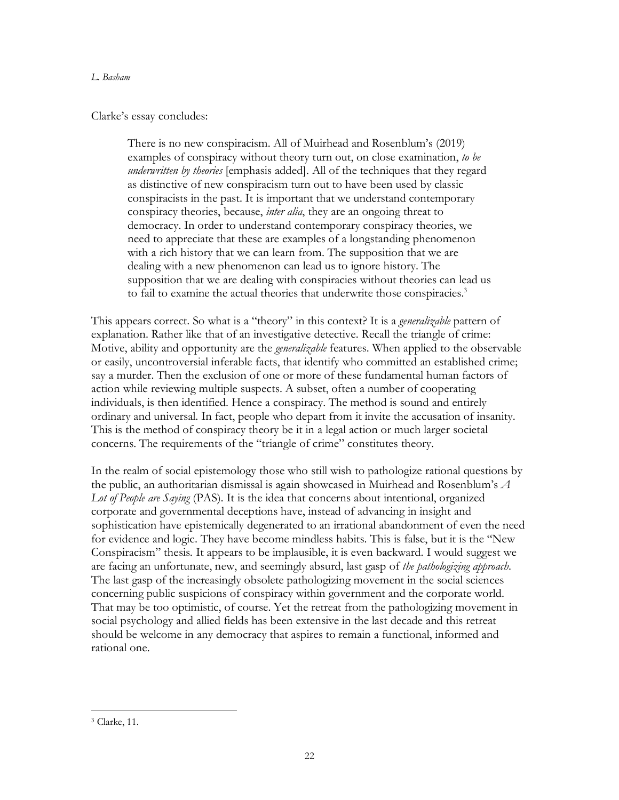## Clarke's essay concludes:

There is no new conspiracism. All of Muirhead and Rosenblum's (2019) examples of conspiracy without theory turn out, on close examination, *to be underwritten by theories* [emphasis added]. All of the techniques that they regard as distinctive of new conspiracism turn out to have been used by classic conspiracists in the past. It is important that we understand contemporary conspiracy theories, because, *inter alia*, they are an ongoing threat to democracy. In order to understand contemporary conspiracy theories, we need to appreciate that these are examples of a longstanding phenomenon with a rich history that we can learn from. The supposition that we are dealing with a new phenomenon can lead us to ignore history. The supposition that we are dealing with conspiracies without theories can lead us to fail to examine the actual theories that underwrite those conspiracies.<sup>3</sup>

This appears correct. So what is a "theory" in this context? It is a *generalizable* pattern of explanation. Rather like that of an investigative detective. Recall the triangle of crime: Motive, ability and opportunity are the *generalizable* features. When applied to the observable or easily, uncontroversial inferable facts, that identify who committed an established crime; say a murder. Then the exclusion of one or more of these fundamental human factors of action while reviewing multiple suspects. A subset, often a number of cooperating individuals, is then identified. Hence a conspiracy. The method is sound and entirely ordinary and universal. In fact, people who depart from it invite the accusation of insanity. This is the method of conspiracy theory be it in a legal action or much larger societal concerns. The requirements of the "triangle of crime" constitutes theory.

In the realm of social epistemology those who still wish to pathologize rational questions by the public, an authoritarian dismissal is again showcased in Muirhead and Rosenblum's *A Lot of People are Saying* (PAS)*.* It is the idea that concerns about intentional, organized corporate and governmental deceptions have, instead of advancing in insight and sophistication have epistemically degenerated to an irrational abandonment of even the need for evidence and logic. They have become mindless habits. This is false, but it is the "New Conspiracism" thesis*.* It appears to be implausible, it is even backward. I would suggest we are facing an unfortunate, new, and seemingly absurd, last gasp of *the pathologizing approach*. The last gasp of the increasingly obsolete pathologizing movement in the social sciences concerning public suspicions of conspiracy within government and the corporate world. That may be too optimistic, of course. Yet the retreat from the pathologizing movement in social psychology and allied fields has been extensive in the last decade and this retreat should be welcome in any democracy that aspires to remain a functional, informed and rational one.

 <sup>3</sup> Clarke, 11.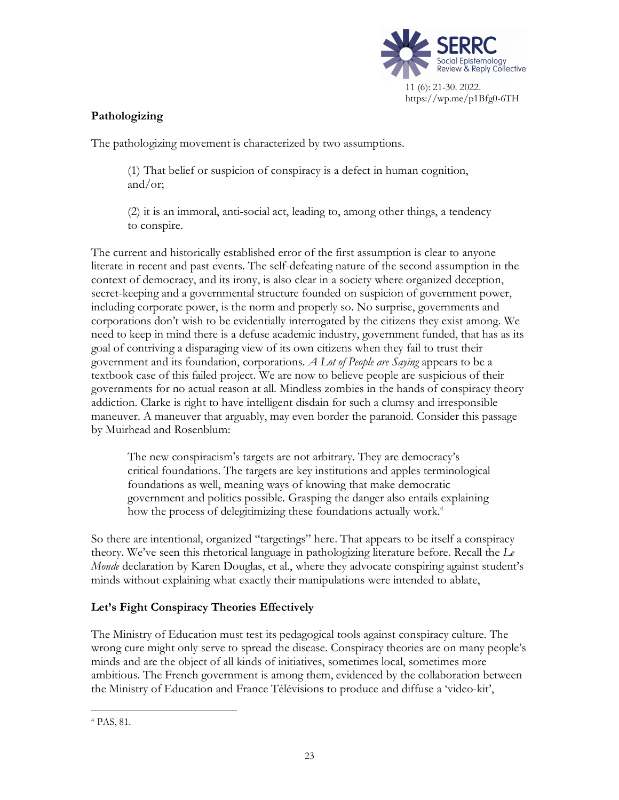

# **Pathologizing**

The pathologizing movement is characterized by two assumptions.

(1) That belief or suspicion of conspiracy is a defect in human cognition, and/or;

(2) it is an immoral, anti-social act, leading to, among other things, a tendency to conspire.

The current and historically established error of the first assumption is clear to anyone literate in recent and past events. The self-defeating nature of the second assumption in the context of democracy, and its irony, is also clear in a society where organized deception, secret-keeping and a governmental structure founded on suspicion of government power, including corporate power, is the norm and properly so. No surprise, governments and corporations don't wish to be evidentially interrogated by the citizens they exist among. We need to keep in mind there is a defuse academic industry, government funded, that has as its goal of contriving a disparaging view of its own citizens when they fail to trust their government and its foundation, corporations. *A Lot of People are Saying* appears to be a textbook case of this failed project. We are now to believe people are suspicious of their governments for no actual reason at all. Mindless zombies in the hands of conspiracy theory addiction. Clarke is right to have intelligent disdain for such a clumsy and irresponsible maneuver. A maneuver that arguably, may even border the paranoid. Consider this passage by Muirhead and Rosenblum:

The new conspiracism's targets are not arbitrary. They are democracy's critical foundations. The targets are key institutions and apples terminological foundations as well, meaning ways of knowing that make democratic government and politics possible. Grasping the danger also entails explaining how the process of delegitimizing these foundations actually work.<sup>4</sup>

So there are intentional, organized "targetings" here. That appears to be itself a conspiracy theory. We've seen this rhetorical language in pathologizing literature before. Recall the *Le Monde* declaration by Karen Douglas, et al., where they advocate conspiring against student's minds without explaining what exactly their manipulations were intended to ablate,

# **Let's Fight Conspiracy Theories Effectively**

The Ministry of Education must test its pedagogical tools against conspiracy culture. The wrong cure might only serve to spread the disease. Conspiracy theories are on many people's minds and are the object of all kinds of initiatives, sometimes local, sometimes more ambitious. The French government is among them, evidenced by the collaboration between the Ministry of Education and France Télévisions to produce and diffuse a 'video-kit',

 <sup>4</sup> PAS, 81.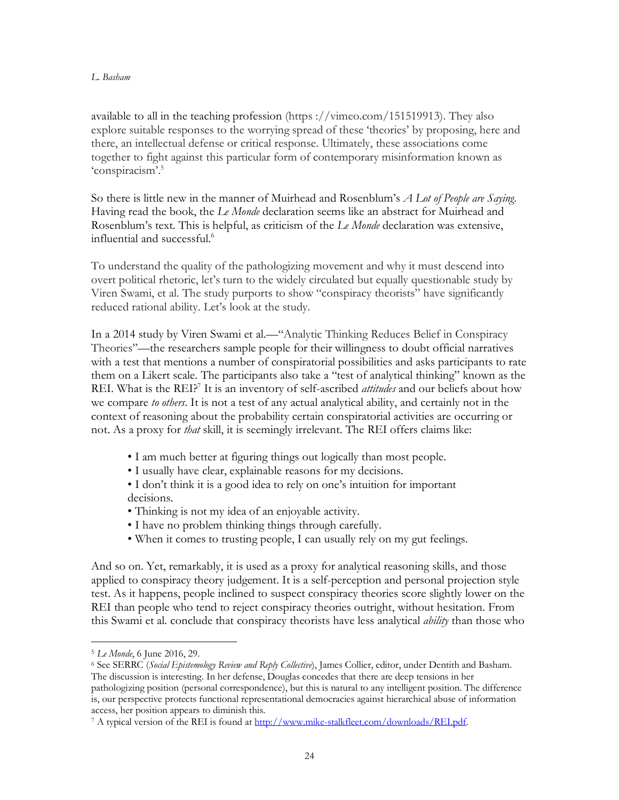available to all in the teaching profession (https ://vimeo.com/151519913). They also explore suitable responses to the worrying spread of these 'theories' by proposing, here and there, an intellectual defense or critical response. Ultimately, these associations come together to fight against this particular form of contemporary misinformation known as 'conspiracism'.5

So there is little new in the manner of Muirhead and Rosenblum's *A Lot of People are Saying*. Having read the book, the *Le Monde* declaration seems like an abstract for Muirhead and Rosenblum's text*.* This is helpful, as criticism of the *Le Monde* declaration was extensive, influential and successful. 6

To understand the quality of the pathologizing movement and why it must descend into overt political rhetoric, let's turn to the widely circulated but equally questionable study by Viren Swami, et al. The study purports to show "conspiracy theorists" have significantly reduced rational ability. Let's look at the study.

In a 2014 study by Viren Swami et al.—"Analytic Thinking Reduces Belief in Conspiracy Theories"—the researchers sample people for their willingness to doubt official narratives with a test that mentions a number of conspiratorial possibilities and asks participants to rate them on a Likert scale. The participants also take a "test of analytical thinking" known as the REI. What is the REI?<sup>7</sup> It is an inventory of self-ascribed *attitudes* and our beliefs about how we compare *to others*. It is not a test of any actual analytical ability, and certainly not in the context of reasoning about the probability certain conspiratorial activities are occurring or not. As a proxy for *that* skill, it is seemingly irrelevant. The REI offers claims like:

- I am much better at figuring things out logically than most people.
- I usually have clear, explainable reasons for my decisions.
- I don't think it is a good idea to rely on one's intuition for important decisions.
- Thinking is not my idea of an enjoyable activity.
- I have no problem thinking things through carefully.
- When it comes to trusting people, I can usually rely on my gut feelings.

And so on. Yet, remarkably, it is used as a proxy for analytical reasoning skills, and those applied to conspiracy theory judgement. It is a self-perception and personal projection style test. As it happens, people inclined to suspect conspiracy theories score slightly lower on the REI than people who tend to reject conspiracy theories outright, without hesitation. From this Swami et al. conclude that conspiracy theorists have less analytical *ability* than those who

 <sup>5</sup> *Le Monde*, 6 June 2016, 29.

<sup>6</sup> See SERRC (*Social Epistemology Review and Reply Collective*), James Collier, editor, under Dentith and Basham. The discussion is interesting. In her defense, Douglas concedes that there are deep tensions in her pathologizing position (personal correspondence), but this is natural to any intelligent position. The difference is, our perspective protects functional representational democracies against hierarchical abuse of information access, her position appears to diminish this.

<sup>&</sup>lt;sup>7</sup> A typical version of the REI is found at http://www.mike-stalkfleet.com/downloads/REI.pdf.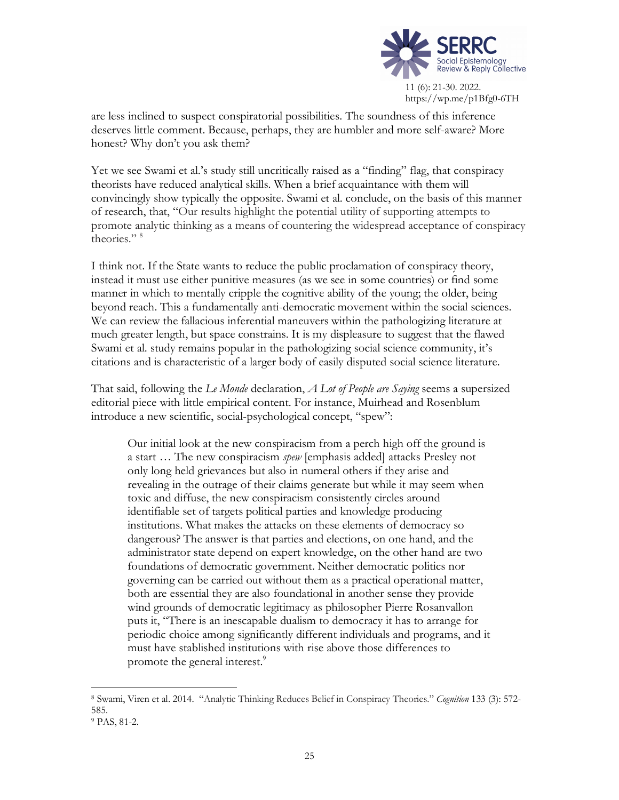

are less inclined to suspect conspiratorial possibilities. The soundness of this inference deserves little comment. Because, perhaps, they are humbler and more self-aware? More honest? Why don't you ask them?

Yet we see Swami et al.'s study still uncritically raised as a "finding" flag, that conspiracy theorists have reduced analytical skills. When a brief acquaintance with them will convincingly show typically the opposite. Swami et al. conclude, on the basis of this manner of research, that, "Our results highlight the potential utility of supporting attempts to promote analytic thinking as a means of countering the widespread acceptance of conspiracy theories." <sup>8</sup>

I think not. If the State wants to reduce the public proclamation of conspiracy theory, instead it must use either punitive measures (as we see in some countries) or find some manner in which to mentally cripple the cognitive ability of the young; the older, being beyond reach. This a fundamentally anti-democratic movement within the social sciences. We can review the fallacious inferential maneuvers within the pathologizing literature at much greater length, but space constrains. It is my displeasure to suggest that the flawed Swami et al. study remains popular in the pathologizing social science community, it's citations and is characteristic of a larger body of easily disputed social science literature.

That said, following the *Le Monde* declaration, *A Lot of People are Saying* seems a supersized editorial piece with little empirical content. For instance, Muirhead and Rosenblum introduce a new scientific, social-psychological concept, "spew":

Our initial look at the new conspiracism from a perch high off the ground is a start … The new conspiracism *spew* [emphasis added] attacks Presley not only long held grievances but also in numeral others if they arise and revealing in the outrage of their claims generate but while it may seem when toxic and diffuse, the new conspiracism consistently circles around identifiable set of targets political parties and knowledge producing institutions. What makes the attacks on these elements of democracy so dangerous? The answer is that parties and elections, on one hand, and the administrator state depend on expert knowledge, on the other hand are two foundations of democratic government. Neither democratic politics nor governing can be carried out without them as a practical operational matter, both are essential they are also foundational in another sense they provide wind grounds of democratic legitimacy as philosopher Pierre Rosanvallon puts it, "There is an inescapable dualism to democracy it has to arrange for periodic choice among significantly different individuals and programs, and it must have stablished institutions with rise above those differences to promote the general interest.<sup>9</sup>

 <sup>8</sup> Swami, Viren et al. 2014. "Analytic Thinking Reduces Belief in Conspiracy Theories." *Cognition* <sup>133</sup> (3): 572- 585.

<sup>9</sup> PAS, 81-2.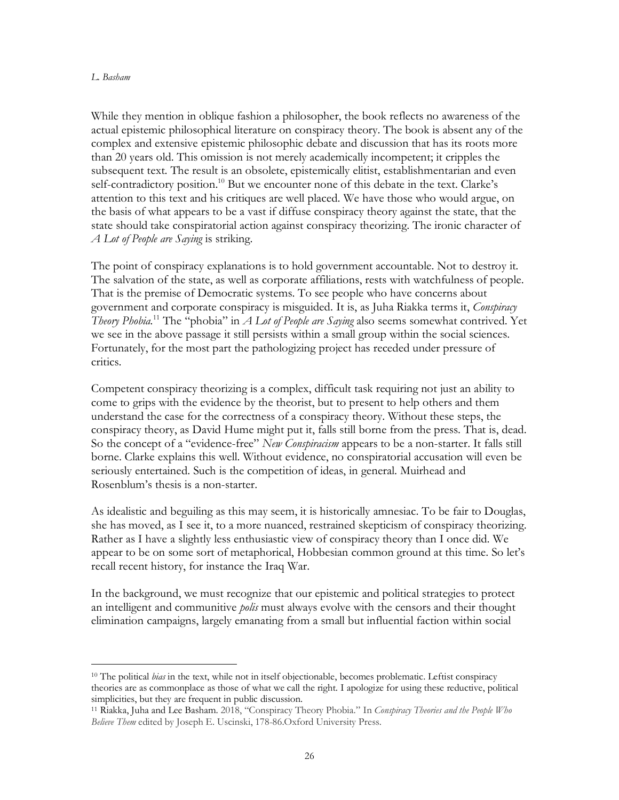While they mention in oblique fashion a philosopher, the book reflects no awareness of the actual epistemic philosophical literature on conspiracy theory. The book is absent any of the complex and extensive epistemic philosophic debate and discussion that has its roots more than 20 years old. This omission is not merely academically incompetent; it cripples the subsequent text. The result is an obsolete, epistemically elitist, establishmentarian and even self-contradictory position.<sup>10</sup> But we encounter none of this debate in the text. Clarke's attention to this text and his critiques are well placed. We have those who would argue, on the basis of what appears to be a vast if diffuse conspiracy theory against the state, that the state should take conspiratorial action against conspiracy theorizing. The ironic character of *A Lot of People are Saying* is striking.

The point of conspiracy explanations is to hold government accountable. Not to destroy it. The salvation of the state, as well as corporate affiliations, rests with watchfulness of people. That is the premise of Democratic systems. To see people who have concerns about government and corporate conspiracy is misguided. It is, as Juha Riakka terms it, *Conspiracy Theory Phobia.*<sup>11</sup> The "phobia" in *A Lot of People are Saying* also seems somewhat contrived. Yet we see in the above passage it still persists within a small group within the social sciences. Fortunately, for the most part the pathologizing project has receded under pressure of critics.

Competent conspiracy theorizing is a complex, difficult task requiring not just an ability to come to grips with the evidence by the theorist, but to present to help others and them understand the case for the correctness of a conspiracy theory. Without these steps, the conspiracy theory, as David Hume might put it, falls still borne from the press. That is, dead. So the concept of a "evidence-free" *New Conspiracism* appears to be a non-starter. It falls still borne. Clarke explains this well. Without evidence, no conspiratorial accusation will even be seriously entertained. Such is the competition of ideas, in general. Muirhead and Rosenblum's thesis is a non-starter.

As idealistic and beguiling as this may seem, it is historically amnesiac. To be fair to Douglas, she has moved, as I see it, to a more nuanced, restrained skepticism of conspiracy theorizing. Rather as I have a slightly less enthusiastic view of conspiracy theory than I once did. We appear to be on some sort of metaphorical, Hobbesian common ground at this time. So let's recall recent history, for instance the Iraq War.

In the background, we must recognize that our epistemic and political strategies to protect an intelligent and communitive *polis* must always evolve with the censors and their thought elimination campaigns, largely emanating from a small but influential faction within social

 <sup>10</sup> The political *bias* in the text, while not in itself objectionable, becomes problematic. Leftist conspiracy theories are as commonplace as those of what we call the right. I apologize for using these reductive, political simplicities, but they are frequent in public discussion.

<sup>11</sup> Riakka, Juha and Lee Basham. 2018, "Conspiracy Theory Phobia." In *Conspiracy Theories and the People Who Believe Them* edited by Joseph E. Uscinski, 178-86.Oxford University Press.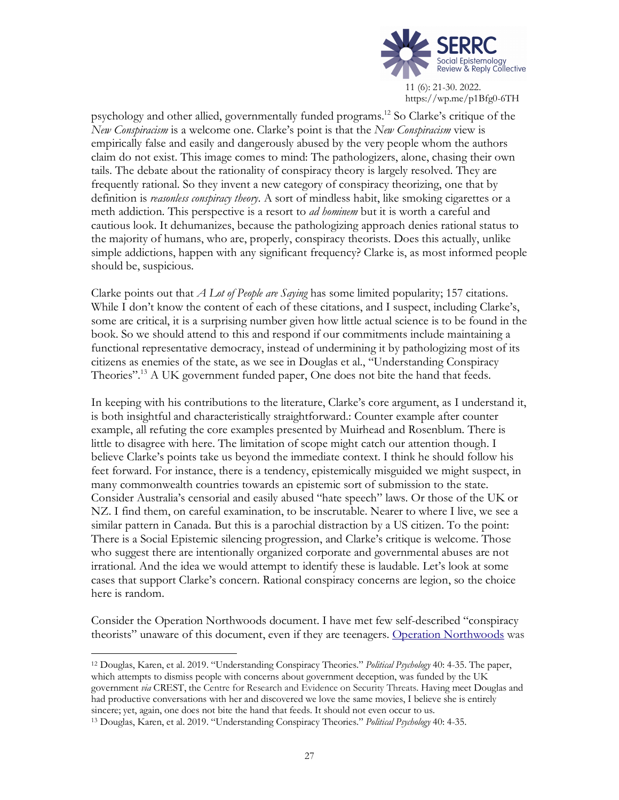

11 (6): 21-30. 2022. https://wp.me/p1Bfg0-6TH

psychology and other allied, governmentally funded programs. <sup>12</sup> So Clarke's critique of the *New Conspiracism* is a welcome one. Clarke's point is that the *New Conspiracism* view is empirically false and easily and dangerously abused by the very people whom the authors claim do not exist. This image comes to mind: The pathologizers, alone, chasing their own tails. The debate about the rationality of conspiracy theory is largely resolved. They are frequently rational. So they invent a new category of conspiracy theorizing, one that by definition is *reasonless conspiracy theory*. A sort of mindless habit, like smoking cigarettes or a meth addiction. This perspective is a resort to *ad hominem* but it is worth a careful and cautious look. It dehumanizes, because the pathologizing approach denies rational status to the majority of humans, who are, properly, conspiracy theorists. Does this actually, unlike simple addictions, happen with any significant frequency? Clarke is, as most informed people should be, suspicious.

Clarke points out that *A Lot of People are Saying* has some limited popularity; 157 citations. While I don't know the content of each of these citations, and I suspect, including Clarke's, some are critical, it is a surprising number given how little actual science is to be found in the book. So we should attend to this and respond if our commitments include maintaining a functional representative democracy, instead of undermining it by pathologizing most of its citizens as enemies of the state, as we see in Douglas et al., "Understanding Conspiracy Theories".<sup>13</sup> A UK government funded paper, One does not bite the hand that feeds.

In keeping with his contributions to the literature, Clarke's core argument, as I understand it, is both insightful and characteristically straightforward.: Counter example after counter example, all refuting the core examples presented by Muirhead and Rosenblum. There is little to disagree with here. The limitation of scope might catch our attention though. I believe Clarke's points take us beyond the immediate context. I think he should follow his feet forward. For instance, there is a tendency, epistemically misguided we might suspect, in many commonwealth countries towards an epistemic sort of submission to the state. Consider Australia's censorial and easily abused "hate speech" laws. Or those of the UK or NZ. I find them, on careful examination, to be inscrutable. Nearer to where I live, we see a similar pattern in Canada. But this is a parochial distraction by a US citizen. To the point: There is a Social Epistemic silencing progression, and Clarke's critique is welcome. Those who suggest there are intentionally organized corporate and governmental abuses are not irrational. And the idea we would attempt to identify these is laudable. Let's look at some cases that support Clarke's concern. Rational conspiracy concerns are legion, so the choice here is random.

Consider the Operation Northwoods document. I have met few self-described "conspiracy theorists" unaware of this document, even if they are teenagers. Operation Northwoods was

 <sup>12</sup> Douglas, Karen, et al. 2019. "Understanding Conspiracy Theories." *Political Psychology* 40: 4-35. The paper, which attempts to dismiss people with concerns about government deception, was funded by the UK government *via* CREST, the Centre for Research and Evidence on Security Threats. Having meet Douglas and had productive conversations with her and discovered we love the same movies, I believe she is entirely sincere; yet, again, one does not bite the hand that feeds. It should not even occur to us.

<sup>13</sup> Douglas, Karen, et al. 2019. "Understanding Conspiracy Theories." *Political Psychology* 40: 4-35.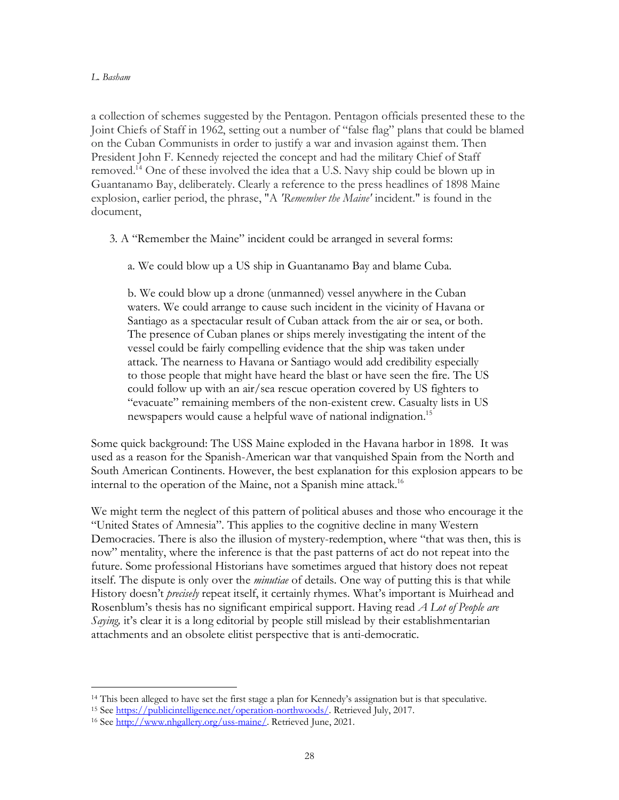a collection of schemes suggested by the Pentagon. Pentagon officials presented these to the Joint Chiefs of Staff in 1962, setting out a number of "false flag" plans that could be blamed on the Cuban Communists in order to justify a war and invasion against them. Then President John F. Kennedy rejected the concept and had the military Chief of Staff removed.14 One of these involved the idea that a U.S. Navy ship could be blown up in Guantanamo Bay, deliberately. Clearly a reference to the press headlines of 1898 Maine explosion, earlier period, the phrase, "A *'Remember the Maine'* incident." is found in the document,

3. A "Remember the Maine" incident could be arranged in several forms:

a. We could blow up a US ship in Guantanamo Bay and blame Cuba.

b. We could blow up a drone (unmanned) vessel anywhere in the Cuban waters. We could arrange to cause such incident in the vicinity of Havana or Santiago as a spectacular result of Cuban attack from the air or sea, or both. The presence of Cuban planes or ships merely investigating the intent of the vessel could be fairly compelling evidence that the ship was taken under attack. The nearness to Havana or Santiago would add credibility especially to those people that might have heard the blast or have seen the fire. The US could follow up with an air/sea rescue operation covered by US fighters to "evacuate" remaining members of the non-existent crew. Casualty lists in US newspapers would cause a helpful wave of national indignation.<sup>15</sup>

Some quick background: The USS Maine exploded in the Havana harbor in 1898. It was used as a reason for the Spanish-American war that vanquished Spain from the North and South American Continents. However, the best explanation for this explosion appears to be internal to the operation of the Maine, not a Spanish mine attack.16

We might term the neglect of this pattern of political abuses and those who encourage it the "United States of Amnesia". This applies to the cognitive decline in many Western Democracies. There is also the illusion of mystery-redemption, where "that was then, this is now" mentality, where the inference is that the past patterns of act do not repeat into the future. Some professional Historians have sometimes argued that history does not repeat itself. The dispute is only over the *minutiae* of details. One way of putting this is that while History doesn't *precisely* repeat itself, it certainly rhymes. What's important is Muirhead and Rosenblum's thesis has no significant empirical support. Having read *A Lot of People are Saying,* it's clear it is a long editorial by people still mislead by their establishmentarian attachments and an obsolete elitist perspective that is anti-democratic.

 <sup>14</sup> This been alleged to have set the first stage a plan for Kennedy's assignation but is that speculative.

<sup>&</sup>lt;sup>15</sup> See https://publicintelligence.net/operation-northwoods/. Retrieved July, 2017.

<sup>&</sup>lt;sup>16</sup> See http://www.nhgallery.org/uss-maine/. Retrieved June, 2021.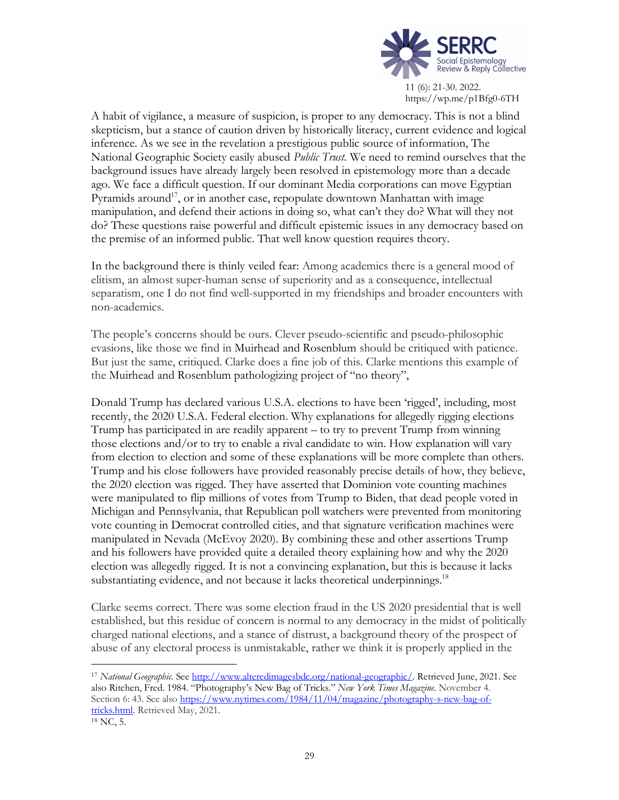

https://wp.me/p1Bfg0-6TH

A habit of vigilance, a measure of suspicion, is proper to any democracy. This is not a blind skepticism, but a stance of caution driven by historically literacy, current evidence and logical inference. As we see in the revelation a prestigious public source of information, The National Geographic Society easily abused *Public Trust.* We need to remind ourselves that the background issues have already largely been resolved in epistemology more than a decade ago. We face a difficult question. If our dominant Media corporations can move Egyptian Pyramids around<sup>17</sup>, or in another case, repopulate downtown Manhattan with image manipulation, and defend their actions in doing so, what can't they do? What will they not do? These questions raise powerful and difficult epistemic issues in any democracy based on the premise of an informed public. That well know question requires theory.

In the background there is thinly veiled fear: Among academics there is a general mood of elitism, an almost super-human sense of superiority and as a consequence, intellectual separatism, one I do not find well-supported in my friendships and broader encounters with non-academics.

The people's concerns should be ours. Clever pseudo-scientific and pseudo-philosophic evasions, like those we find in Muirhead and Rosenblum should be critiqued with patience. But just the same, critiqued. Clarke does a fine job of this. Clarke mentions this example of the Muirhead and Rosenblum pathologizing project of "no theory",

Donald Trump has declared various U.S.A. elections to have been 'rigged', including, most recently, the 2020 U.S.A. Federal election. Why explanations for allegedly rigging elections Trump has participated in are readily apparent – to try to prevent Trump from winning those elections and/or to try to enable a rival candidate to win. How explanation will vary from election to election and some of these explanations will be more complete than others. Trump and his close followers have provided reasonably precise details of how, they believe, the 2020 election was rigged. They have asserted that Dominion vote counting machines were manipulated to flip millions of votes from Trump to Biden, that dead people voted in Michigan and Pennsylvania, that Republican poll watchers were prevented from monitoring vote counting in Democrat controlled cities, and that signature verification machines were manipulated in Nevada (McEvoy 2020). By combining these and other assertions Trump and his followers have provided quite a detailed theory explaining how and why the 2020 election was allegedly rigged. It is not a convincing explanation, but this is because it lacks substantiating evidence, and not because it lacks theoretical underpinnings.<sup>18</sup>

Clarke seems correct. There was some election fraud in the US 2020 presidential that is well established, but this residue of concern is normal to any democracy in the midst of politically charged national elections, and a stance of distrust, a background theory of the prospect of abuse of any electoral process is unmistakable, rather we think it is properly applied in the

 <sup>17</sup> *National Geographic.* See http://www.alteredimagesbdc.org/national-geographic/. Retrieved June, 2021. See also Ritchen, Fred. 1984. "Photography's New Bag of Tricks." *New York Times Magazine*. November 4. Section 6: 43. See also https://www.nytimes.com/1984/11/04/magazine/photography-s-new-bag-oftricks.html. Retrieved May, 2021.